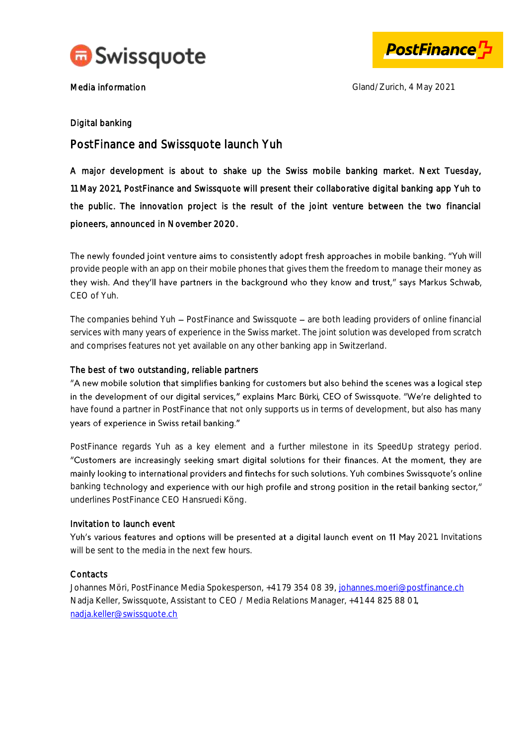



Media information and the contract of the Gland/Zurich, 4 May 2021

#### Digital banking

# PostFinance and Swissquote launch Yuh

A major development is about to shake up the Swiss mobile banking market. Next Tuesday, 11 May 2021, PostFinance and Swissquote will present their collaborative digital banking app Yuh to the public. The innovation project is the result of the joint venture between the two financial pioneers, announced in November 2020.

The newly founded joint venture aims to consistently adopt fresh approaches in mobile banking. "Yuh will provide people with an app on their mobile phones that gives them the freedom to manage their money as they wish. And they'll have partners in the background who they know and trust," says Markus Schwab, CEO of Yuh.

The companies behind Yuh - PostFinance and Swissquote - are both leading providers of online financial services with many years of experience in the Swiss market. The joint solution was developed from scratch and comprises features not yet available on any other banking app in Switzerland.

#### The best of two outstanding, reliable partners

"A new mobile solution that simplifies banking for customers but also behind the scenes was a logical step in the development of our digital services," explains Marc Bürki, CEO of Swissquote. "We're delighted to have found a partner in PostFinance that not only supports us in terms of development, but also has many years of experience in Swiss retail banking."

PostFinance regards Yuh as a key element and a further milestone in its SpeedUp strategy period. "Customers are increasingly seeking smart digital solutions for their finances. At the moment, they are mainly looking to international providers and fintechs for such solutions. Yuh combines Swissquote's online banking technology and experience with our high profile and strong position in the retail banking sector," underlines PostFinance CEO Hansruedi Köng.

#### Invitation to launch event

Yuh's various features and options will be presented at a digital launch event on 11 May 2021. Invitations will be sent to the media in the next few hours.

## **Contacts**

Johannes Möri, PostFinance Media Spokesperson, +41 79 354 08 39, [johannes.moeri@postfinance.ch](mailto:johannes.moeri@postfinance.ch) Nadia Keller, Swissquote, Assistant to CEO / Media Relations Manager, +41 44 825 88 01, nadia.keller@swissquote.ch